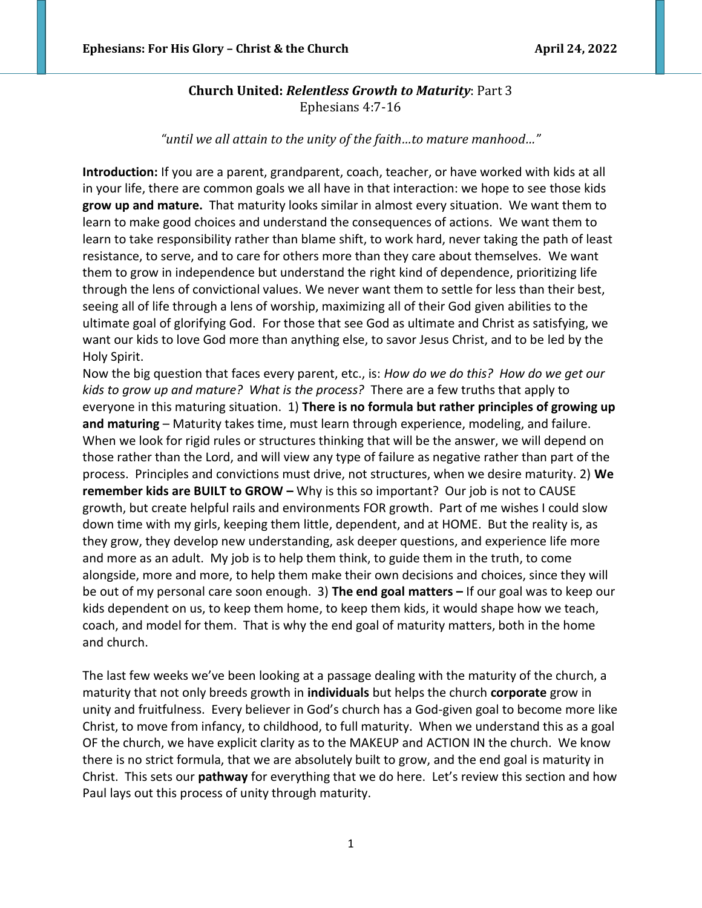## **Church United:** *Relentless Growth to Maturity*: Part 3 Ephesians 4:7-16

*"until we all attain to the unity of the faith…to mature manhood…"*

**Introduction:** If you are a parent, grandparent, coach, teacher, or have worked with kids at all in your life, there are common goals we all have in that interaction: we hope to see those kids **grow up and mature.** That maturity looks similar in almost every situation. We want them to learn to make good choices and understand the consequences of actions. We want them to learn to take responsibility rather than blame shift, to work hard, never taking the path of least resistance, to serve, and to care for others more than they care about themselves. We want them to grow in independence but understand the right kind of dependence, prioritizing life through the lens of convictional values. We never want them to settle for less than their best, seeing all of life through a lens of worship, maximizing all of their God given abilities to the ultimate goal of glorifying God. For those that see God as ultimate and Christ as satisfying, we want our kids to love God more than anything else, to savor Jesus Christ, and to be led by the Holy Spirit.

Now the big question that faces every parent, etc., is: *How do we do this? How do we get our kids to grow up and mature? What is the process?* There are a few truths that apply to everyone in this maturing situation. 1) **There is no formula but rather principles of growing up and maturing** – Maturity takes time, must learn through experience, modeling, and failure. When we look for rigid rules or structures thinking that will be the answer, we will depend on those rather than the Lord, and will view any type of failure as negative rather than part of the process. Principles and convictions must drive, not structures, when we desire maturity. 2) **We remember kids are BUILT to GROW –** Why is this so important? Our job is not to CAUSE growth, but create helpful rails and environments FOR growth. Part of me wishes I could slow down time with my girls, keeping them little, dependent, and at HOME. But the reality is, as they grow, they develop new understanding, ask deeper questions, and experience life more and more as an adult. My job is to help them think, to guide them in the truth, to come alongside, more and more, to help them make their own decisions and choices, since they will be out of my personal care soon enough. 3) **The end goal matters –** If our goal was to keep our kids dependent on us, to keep them home, to keep them kids, it would shape how we teach, coach, and model for them. That is why the end goal of maturity matters, both in the home and church.

The last few weeks we've been looking at a passage dealing with the maturity of the church, a maturity that not only breeds growth in **individuals** but helps the church **corporate** grow in unity and fruitfulness. Every believer in God's church has a God-given goal to become more like Christ, to move from infancy, to childhood, to full maturity. When we understand this as a goal OF the church, we have explicit clarity as to the MAKEUP and ACTION IN the church. We know there is no strict formula, that we are absolutely built to grow, and the end goal is maturity in Christ. This sets our **pathway** for everything that we do here. Let's review this section and how Paul lays out this process of unity through maturity.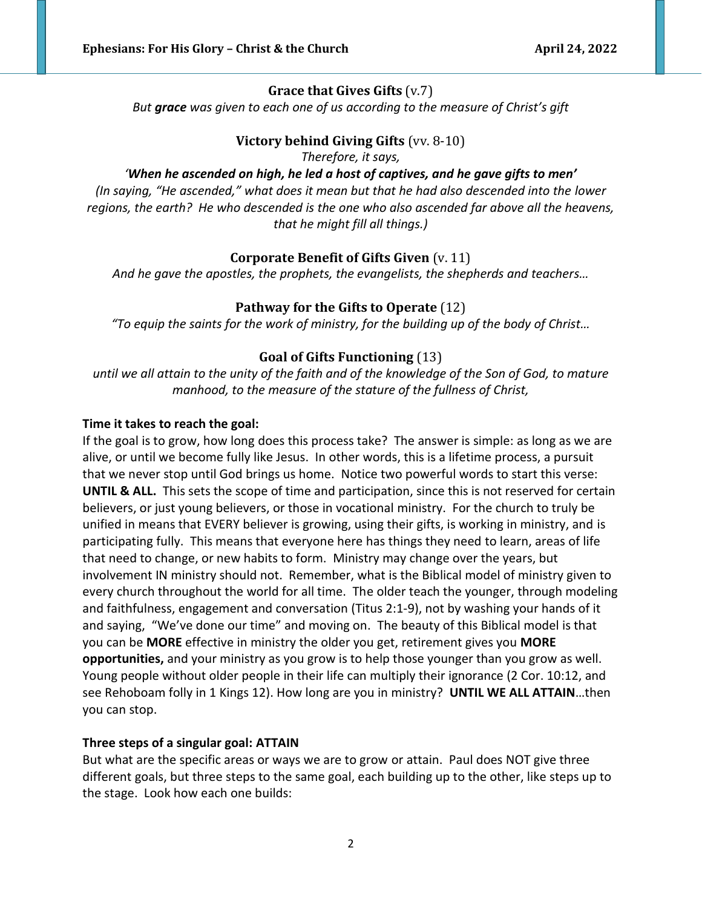# **Grace that Gives Gifts** (v.7)

*But grace was given to each one of us according to the measure of Christ's gift*

# **Victory behind Giving Gifts** (vv. 8-10)

*Therefore, it says,* 

## *'When he ascended on high, he led a host of captives, and he gave gifts to men'*

*(In saying, "He ascended," what does it mean but that he had also descended into the lower regions, the earth? He who descended is the one who also ascended far above all the heavens, that he might fill all things.)*

# **Corporate Benefit of Gifts Given** (v. 11)

*And he gave the apostles, the prophets, the evangelists, the shepherds and teachers…*

# **Pathway for the Gifts to Operate** (12)

*"To equip the saints for the work of ministry, for the building up of the body of Christ…*

## **Goal of Gifts Functioning** (13)

*until we all attain to the unity of the faith and of the knowledge of the Son of God, to mature manhood, to the measure of the stature of the fullness of Christ,*

## **Time it takes to reach the goal:**

If the goal is to grow, how long does this process take? The answer is simple: as long as we are alive, or until we become fully like Jesus. In other words, this is a lifetime process, a pursuit that we never stop until God brings us home. Notice two powerful words to start this verse: **UNTIL & ALL.** This sets the scope of time and participation, since this is not reserved for certain believers, or just young believers, or those in vocational ministry. For the church to truly be unified in means that EVERY believer is growing, using their gifts, is working in ministry, and is participating fully. This means that everyone here has things they need to learn, areas of life that need to change, or new habits to form. Ministry may change over the years, but involvement IN ministry should not. Remember, what is the Biblical model of ministry given to every church throughout the world for all time. The older teach the younger, through modeling and faithfulness, engagement and conversation (Titus 2:1-9), not by washing your hands of it and saying, "We've done our time" and moving on. The beauty of this Biblical model is that you can be **MORE** effective in ministry the older you get, retirement gives you **MORE opportunities,** and your ministry as you grow is to help those younger than you grow as well. Young people without older people in their life can multiply their ignorance (2 Cor. 10:12, and see Rehoboam folly in 1 Kings 12). How long are you in ministry? **UNTIL WE ALL ATTAIN**…then you can stop.

## **Three steps of a singular goal: ATTAIN**

But what are the specific areas or ways we are to grow or attain. Paul does NOT give three different goals, but three steps to the same goal, each building up to the other, like steps up to the stage. Look how each one builds: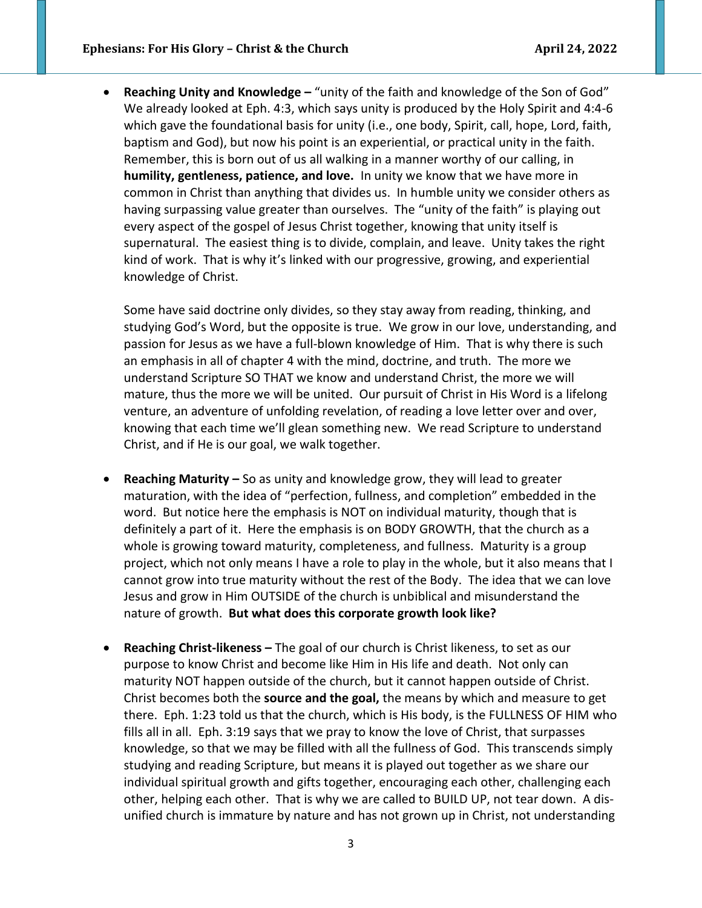• **Reaching Unity and Knowledge –** "unity of the faith and knowledge of the Son of God" We already looked at Eph. 4:3, which says unity is produced by the Holy Spirit and 4:4-6 which gave the foundational basis for unity (i.e., one body, Spirit, call, hope, Lord, faith, baptism and God), but now his point is an experiential, or practical unity in the faith. Remember, this is born out of us all walking in a manner worthy of our calling, in **humility, gentleness, patience, and love.** In unity we know that we have more in common in Christ than anything that divides us. In humble unity we consider others as having surpassing value greater than ourselves. The "unity of the faith" is playing out every aspect of the gospel of Jesus Christ together, knowing that unity itself is supernatural. The easiest thing is to divide, complain, and leave. Unity takes the right kind of work. That is why it's linked with our progressive, growing, and experiential knowledge of Christ.

Some have said doctrine only divides, so they stay away from reading, thinking, and studying God's Word, but the opposite is true. We grow in our love, understanding, and passion for Jesus as we have a full-blown knowledge of Him. That is why there is such an emphasis in all of chapter 4 with the mind, doctrine, and truth. The more we understand Scripture SO THAT we know and understand Christ, the more we will mature, thus the more we will be united. Our pursuit of Christ in His Word is a lifelong venture, an adventure of unfolding revelation, of reading a love letter over and over, knowing that each time we'll glean something new. We read Scripture to understand Christ, and if He is our goal, we walk together.

- **Reaching Maturity –** So as unity and knowledge grow, they will lead to greater maturation, with the idea of "perfection, fullness, and completion" embedded in the word. But notice here the emphasis is NOT on individual maturity, though that is definitely a part of it. Here the emphasis is on BODY GROWTH, that the church as a whole is growing toward maturity, completeness, and fullness. Maturity is a group project, which not only means I have a role to play in the whole, but it also means that I cannot grow into true maturity without the rest of the Body. The idea that we can love Jesus and grow in Him OUTSIDE of the church is unbiblical and misunderstand the nature of growth. **But what does this corporate growth look like?**
- **Reaching Christ-likeness –** The goal of our church is Christ likeness, to set as our purpose to know Christ and become like Him in His life and death. Not only can maturity NOT happen outside of the church, but it cannot happen outside of Christ. Christ becomes both the **source and the goal,** the means by which and measure to get there. Eph. 1:23 told us that the church, which is His body, is the FULLNESS OF HIM who fills all in all. Eph. 3:19 says that we pray to know the love of Christ, that surpasses knowledge, so that we may be filled with all the fullness of God. This transcends simply studying and reading Scripture, but means it is played out together as we share our individual spiritual growth and gifts together, encouraging each other, challenging each other, helping each other. That is why we are called to BUILD UP, not tear down. A disunified church is immature by nature and has not grown up in Christ, not understanding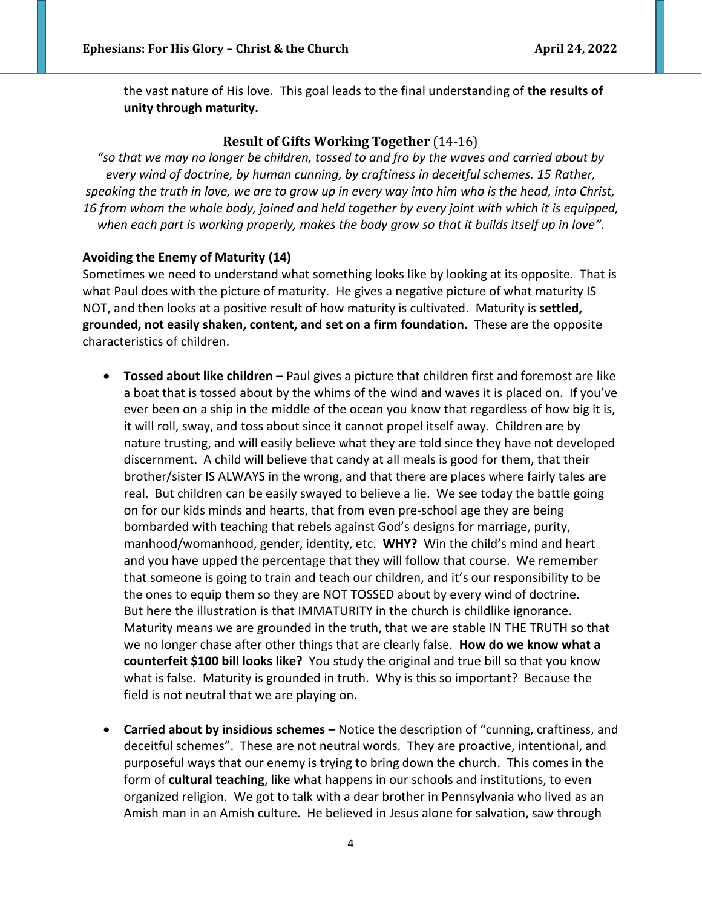the vast nature of His love. This goal leads to the final understanding of **the results of unity through maturity.** 

## **Result of Gifts Working Together** (14-16)

*"so that we may no longer be children, tossed to and fro by the waves and carried about by every wind of doctrine, by human cunning, by craftiness in deceitful schemes. 15 Rather, speaking the truth in love, we are to grow up in every way into him who is the head, into Christ, 16 from whom the whole body, joined and held together by every joint with which it is equipped, when each part is working properly, makes the body grow so that it builds itself up in love".*

#### **Avoiding the Enemy of Maturity (14)**

Sometimes we need to understand what something looks like by looking at its opposite. That is what Paul does with the picture of maturity. He gives a negative picture of what maturity IS NOT, and then looks at a positive result of how maturity is cultivated. Maturity is **settled, grounded, not easily shaken, content, and set on a firm foundation.** These are the opposite characteristics of children.

- **Tossed about like children –** Paul gives a picture that children first and foremost are like a boat that is tossed about by the whims of the wind and waves it is placed on. If you've ever been on a ship in the middle of the ocean you know that regardless of how big it is, it will roll, sway, and toss about since it cannot propel itself away. Children are by nature trusting, and will easily believe what they are told since they have not developed discernment. A child will believe that candy at all meals is good for them, that their brother/sister IS ALWAYS in the wrong, and that there are places where fairly tales are real. But children can be easily swayed to believe a lie. We see today the battle going on for our kids minds and hearts, that from even pre-school age they are being bombarded with teaching that rebels against God's designs for marriage, purity, manhood/womanhood, gender, identity, etc. **WHY?** Win the child's mind and heart and you have upped the percentage that they will follow that course. We remember that someone is going to train and teach our children, and it's our responsibility to be the ones to equip them so they are NOT TOSSED about by every wind of doctrine. But here the illustration is that IMMATURITY in the church is childlike ignorance. Maturity means we are grounded in the truth, that we are stable IN THE TRUTH so that we no longer chase after other things that are clearly false. **How do we know what a counterfeit \$100 bill looks like?** You study the original and true bill so that you know what is false. Maturity is grounded in truth. Why is this so important? Because the field is not neutral that we are playing on.
- **Carried about by insidious schemes –** Notice the description of "cunning, craftiness, and deceitful schemes". These are not neutral words. They are proactive, intentional, and purposeful ways that our enemy is trying to bring down the church. This comes in the form of **cultural teaching**, like what happens in our schools and institutions, to even organized religion. We got to talk with a dear brother in Pennsylvania who lived as an Amish man in an Amish culture. He believed in Jesus alone for salvation, saw through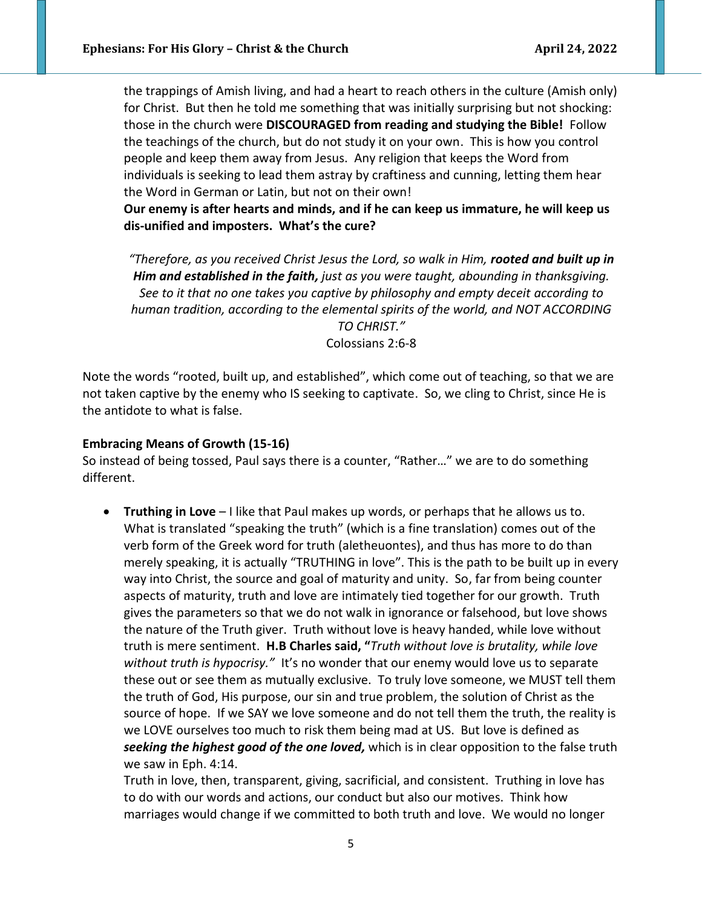the trappings of Amish living, and had a heart to reach others in the culture (Amish only) for Christ. But then he told me something that was initially surprising but not shocking: those in the church were **DISCOURAGED from reading and studying the Bible!** Follow the teachings of the church, but do not study it on your own. This is how you control people and keep them away from Jesus. Any religion that keeps the Word from individuals is seeking to lead them astray by craftiness and cunning, letting them hear the Word in German or Latin, but not on their own!

**Our enemy is after hearts and minds, and if he can keep us immature, he will keep us dis-unified and imposters. What's the cure?** 

*"Therefore, as you received Christ Jesus the Lord, so walk in Him, rooted and built up in Him and established in the faith, just as you were taught, abounding in thanksgiving. See to it that no one takes you captive by philosophy and empty deceit according to human tradition, according to the elemental spirits of the world, and NOT ACCORDING TO CHRIST."* Colossians 2:6-8

Note the words "rooted, built up, and established", which come out of teaching, so that we are not taken captive by the enemy who IS seeking to captivate. So, we cling to Christ, since He is the antidote to what is false.

#### **Embracing Means of Growth (15-16)**

So instead of being tossed, Paul says there is a counter, "Rather…" we are to do something different.

• **Truthing in Love** – I like that Paul makes up words, or perhaps that he allows us to. What is translated "speaking the truth" (which is a fine translation) comes out of the verb form of the Greek word for truth (aletheuontes), and thus has more to do than merely speaking, it is actually "TRUTHING in love". This is the path to be built up in every way into Christ, the source and goal of maturity and unity. So, far from being counter aspects of maturity, truth and love are intimately tied together for our growth. Truth gives the parameters so that we do not walk in ignorance or falsehood, but love shows the nature of the Truth giver. Truth without love is heavy handed, while love without truth is mere sentiment. **H.B Charles said, "***Truth without love is brutality, while love without truth is hypocrisy."* It's no wonder that our enemy would love us to separate these out or see them as mutually exclusive. To truly love someone, we MUST tell them the truth of God, His purpose, our sin and true problem, the solution of Christ as the source of hope. If we SAY we love someone and do not tell them the truth, the reality is we LOVE ourselves too much to risk them being mad at US. But love is defined as *seeking the highest good of the one loved,* which is in clear opposition to the false truth we saw in Eph. 4:14.

Truth in love, then, transparent, giving, sacrificial, and consistent. Truthing in love has to do with our words and actions, our conduct but also our motives. Think how marriages would change if we committed to both truth and love. We would no longer